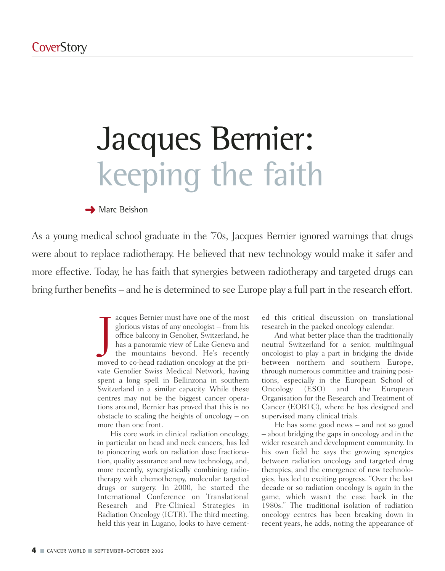# Jacques Bernier: keeping the faith

#### **→ Marc Beishon**

As a young medical school graduate in the '70s, Jacques Bernier ignored warnings that drugs were about to replace radiotherapy. He believed that new technology would make it safer and more effective. Today, he has faith that synergies between radiotherapy and targeted drugs can bring further benefits – and he is determined to see Europe play a full part in the research effort.

> J acques Bernier must have one of the most glorious vistas of any oncologist – from his office balcony in Genolier, Switzerland, he has a panoramic view of Lake Geneva and the mountains beyond. He's recently moved to co-head radiation oncology at the private Genolier Swiss Medical Network, having spent a long spell in Bellinzona in southern Switzerland in a similar capacity. While these centres may not be the biggest cancer operations around, Bernier has proved that this is no obstacle to scaling the heights of oncology – on more than one front.

> His core work in clinical radiation oncology, in particular on head and neck cancers, has led to pioneering work on radiation dose fractionation, quality assurance and new technology, and, more recently, synergistically combining radiotherapy with chemotherapy, molecular targeted drugs or surgery. In 2000, he started the International Conference on Translational Research and Pre-Clinical Strategies in Radiation Oncology (ICTR). The third meeting, held this year in Lugano, looks to have cement

ed this critical discussion on translational research in the packed oncology calendar.

And what better place than the traditionally neutral Switzerland for a senior, multilingual oncologist to play a part in bridging the divide between northern and southern Europe, through numerous committee and training positions, especially in the European School of Oncology (ESO) and the European Organisation for the Research and Treatment of Cancer (EORTC), where he has designed and supervised many clinical trials.

He has some good news – and not so good – about bridging the gaps in oncology and in the wider research and development community. In his own field he says the growing synergies between radiation oncology and targeted drug therapies, and the emergence of new technologies, has led to exciting progress. "Over the last decade or so radiation oncology is again in the game, which wasn't the case back in the 1980s." The traditional isolation of radiation oncology centres has been breaking down in recent years, he adds, noting the appearance of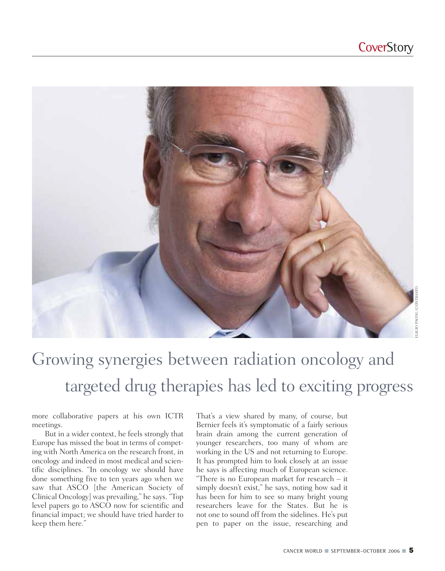

# Growing synergies between radiation oncology and targeted drug therapies has led to exciting progress

more collaborative papers at his own ICTR meetings.

But in a wider context, he feels strongly that Europe has missed the boat in terms of competing with North America on the research front, in oncology and indeed in most medical and scientific disciplines. "In oncology we should have done something five to ten years ago when we saw that ASCO [the American Society of Clinical Oncology] was prevailing," he says. "Top level papers go to ASCO now for scientific and financial impact; we should have tried harder to keep them here."

That's a view shared by many, of course, but Bernier feels it's symptomatic of a fairly serious brain drain among the current generation of younger researchers, too many of whom are working in the US and not returning to Europe. It has prompted him to look closely at an issue he says is affecting much of European science. "There is no European market for research – it simply doesn't exist," he says, noting how sad it has been for him to see so many bright young researchers leave for the States. But he is not one to sound off from the sidelines. He's put pen to paper on the issue, researching and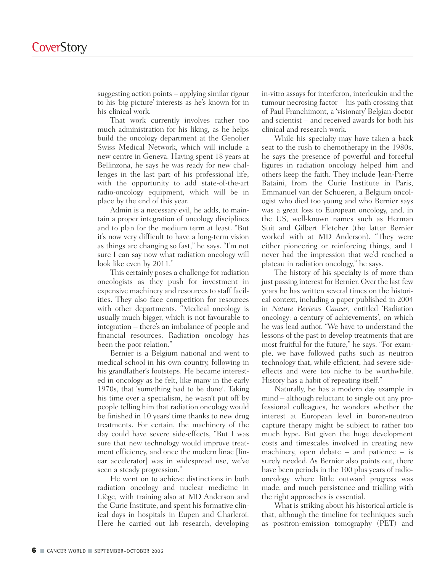suggesting action points – applying similar rigour to his 'big picture' interests as he's known for in his clinical work.

That work currently involves rather too much administration for his liking, as he helps build the oncology department at the Genolier Swiss Medical Network, which will include a new centre in Geneva. Having spent 18 years at Bellinzona, he says he was ready for new challenges in the last part of his professional life, with the opportunity to add state-of-the-art radio-oncology equipment, which will be in place by the end of this year.

Admin is a necessary evil, he adds, to maintain a proper integration of oncology disciplines and to plan for the medium term at least. "But it's now very difficult to have a long-term vision as things are changing so fast," he says. "I'm not sure I can say now what radiation oncology will look like even by 2011."

This certainly poses a challenge for radiation oncologists as they push for investment in expensive machinery and resources to staff facilities. They also face competition for resources with other departments. "Medical oncology is usually much bigger, which is not favourable to integration – there's an imbalance of people and financial resources. Radiation oncology has been the poor relation."

Bernier is a Belgium national and went to medical school in his own country, following in his grandfather's footsteps. He became interested in oncology as he felt, like many in the early 1970s, that 'something had to be done'. Taking his time over a specialism, he wasn't put off by people telling him that radiation oncology would be finished in 10 years' time thanks to new drug treatments. For certain, the machinery of the day could have severe side-effects, "But I was sure that new technology would improve treatment efficiency, and once the modern linac [linear accelerator] was in widespread use, we've seen a steady progression."

He went on to achieve distinctions in both radiation oncology and nuclear medicine in Liège, with training also at MD Anderson and the Curie Institute, and spent his formative clinical days in hospitals in Eupen and Charleroi. Here he carried out lab research, developing in-vitro assays for interferon, interleukin and the tumour necrosing factor – his path crossing that of Paul Franchimont, a 'visionary' Belgian doctor and scientist – and received awards for both his clinical and research work.

While his specialty may have taken a back seat to the rush to chemotherapy in the 1980s, he says the presence of powerful and forceful figures in radiation oncology helped him and others keep the faith. They include Jean-Pierre Bataini, from the Curie Institute in Paris, Emmanuel van der Schueren, a Belgium oncologist who died too young and who Bernier says was a great loss to European oncology, and, in the US, well-known names such as Herman Suit and Gilbert Fletcher (the latter Bernier worked with at MD Anderson). "They were either pioneering or reinforcing things, and I never had the impression that we'd reached a plateau in radiation oncology," he says.

The history of his specialty is of more than just passing interest for Bernier. Over the last few years he has written several times on the historical context, including a paper published in 2004 in *Nature Reviews Cancer*, entitled 'Radiation oncology: a century of achievements', on which he was lead author. "We have to understand the lessons of the past to develop treatments that are most fruitful for the future," he says. "For example, we have followed paths such as neutron technology that, while efficient, had severe sideeffects and were too niche to be worthwhile. History has a habit of repeating itself."

Naturally, he has a modern day example in mind – although reluctant to single out any professional colleagues, he wonders whether the interest at European level in boron-neutron capture therapy might be subject to rather too much hype. But given the huge development costs and timescales involved in creating new machinery, open debate – and patience – is surely needed. As Bernier also points out, there have been periods in the 100 plus years of radiooncology where little outward progress was made, and much persistence and trialling with the right approaches is essential.

What is striking about his historical article is that, although the timeline for techniques such as positron-emission tomography (PET) and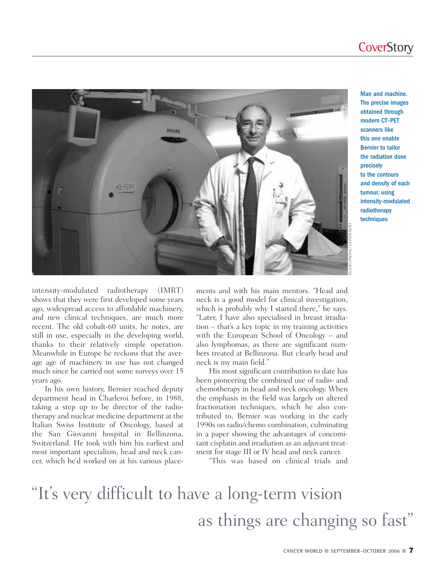

Man and machine. The precise images obtained through modern CT–PET scanners like this one enable Bernier to tailor the radiation dose precisely to the contours and density of each tumour, using intensity-modulated radiotherapy techniques

intensity-modulated radiotherapy (IMRT) shows that they were first developed some years ago, widespread access to affordable machinery, and new clinical techniques, are much more recent. The old cobalt-60 units, he notes, are still in use, especially in the developing world, thanks to their relatively simple operation. Meanwhile in Europe he reckons that the average age of machinery in use has not changed much since he carried out some surveys over 15 years ago.

In his own history, Bernier reached deputy department head in Charleroi before, in 1988, taking a step up to be director of the radiotherapy and nuclear medicine department at the Italian Swiss Institute of Oncology, based at the San Giovanni hospital in Bellinzona, Switzerland. He took with him his earliest and most important specialism, head and neck cancer, which he'd worked on at his various placements and with his main mentors. "Head and neck is a good model for clinical investigation, which is probably why I started there," he says. "Later, I have also specialised in breast irradiation – that's a key topic in my training activities with the European School of Oncology – and also lymphomas, as there are significant numbers treated at Bellinzona. But clearly head and neck is my main field."

His most significant contribution to date has been pioneering the combined use of radio- and chemotherapy in head and neck oncology. When the emphasis in the field was largely on altered fractionation techniques, which he also contributed to, Bernier was working in the early 1990s on radio/chemo combination, culminating in a paper showing the advantages of concomitant cisplatin and irradiation as an adjuvant treatment for stage III or IV head and neck cancer.

"This was based on clinical trials and

### "It's very difficult to have a long-term vision as things are changing so fast"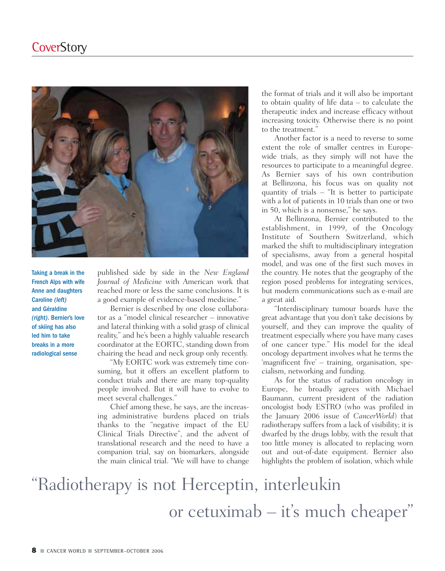

Taking a break in the French Alps with wife Anne and daughters Caroline *(left)* and Géraldine *(right)*. Bernier's love of skiing has also led him to take breaks in a more radiological sense

published side by side in the *New England Journal of Medicine* with American work that reached more or less the same conclusions. It is a good example of evidence-based medicine."

Bernier is described by one close collaborator as a "model clinical researcher – innovative and lateral thinking with a solid grasp of clinical reality," and he's been a highly valuable research coordinator at the EORTC, standing down from chairing the head and neck group only recently.

"My EORTC work was extremely time consuming, but it offers an excellent platform to conduct trials and there are many top-quality people involved. But it will have to evolve to meet several challenges."

Chief among these, he says, are the increasing administrative burdens placed on trials thanks to the "negative impact of the EU Clinical Trials Directive", and the advent of translational research and the need to have a companion trial, say on biomarkers, alongside the main clinical trial. "We will have to change

the format of trials and it will also be important to obtain quality of life data – to calculate the therapeutic index and increase efficacy without increasing toxicity. Otherwise there is no point to the treatment."

Another factor is a need to reverse to some extent the role of smaller centres in Europewide trials, as they simply will not have the resources to participate to a meaningful degree. As Bernier says of his own contribution at Bellinzona, his focus was on quality not quantity of trials – "It is better to participate with a lot of patients in 10 trials than one or two in 50, which is a nonsense," he says.

At Bellinzona, Bernier contributed to the establishment, in 1999, of the Oncology Institute of Southern Switzerland, which marked the shift to multidisciplinary integration of specialisms, away from a general hospital model, and was one of the first such moves in the country. He notes that the geography of the region posed problems for integrating services, but modern communications such as e-mail are a great aid.

"Interdisciplinary tumour boards have the great advantage that you don't take decisions by yourself, and they can improve the quality of treatment especially where you have many cases of one cancer type." His model for the ideal oncology department involves what he terms the 'magnificent five' – training, organisation, specialism, networking and funding.

As for the status of radiation oncology in Europe, he broadly agrees with Michael Baumann, current president of the radiation oncologist body ESTRO (who was profiled in the January 2006 issue of *CancerWorld*) that radiotherapy suffers from a lack of visibility; it is dwarfed by the drugs lobby, with the result that too little money is allocated to replacing worn out and out-of-date equipment. Bernier also highlights the problem of isolation, which while

## "Radiotherapy is not Herceptin, interleukin or cetuximab – it's much cheaper"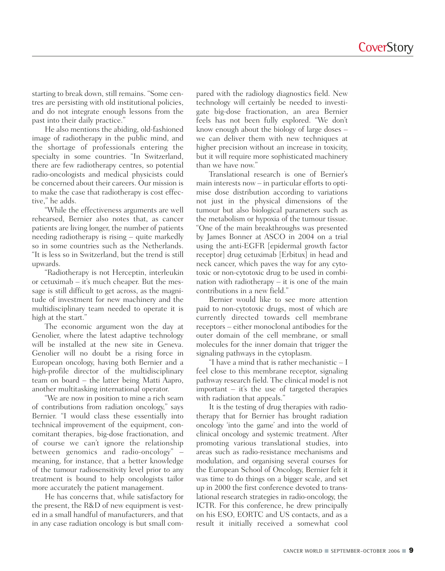starting to break down, still remains. "Some centres are persisting with old institutional policies, and do not integrate enough lessons from the past into their daily practice."

He also mentions the abiding, old-fashioned image of radiotherapy in the public mind, and the shortage of professionals entering the specialty in some countries. "In Switzerland, there are few radiotherapy centres, so potential radio-oncologists and medical physicists could be concerned about their careers. Our mission is to make the case that radiotherapy is cost effective," he adds.

"While the effectiveness arguments are well rehearsed, Bernier also notes that, as cancer patients are living longer, the number of patients needing radiotherapy is rising – quite markedly so in some countries such as the Netherlands. "It is less so in Switzerland, but the trend is still upwards.

"Radiotherapy is not Herceptin, interleukin or cetuximab – it's much cheaper. But the message is still difficult to get across, as the magnitude of investment for new machinery and the multidisciplinary team needed to operate it is high at the start."

The economic argument won the day at Genolier, where the latest adaptive technology will be installed at the new site in Geneva. Genolier will no doubt be a rising force in European oncology, having both Bernier and a high-profile director of the multidisciplinary team on board – the latter being Matti Aapro, another multitasking international operator.

"We are now in position to mine a rich seam of contributions from radiation oncology," says Bernier. "I would class these essentially into technical improvement of the equipment, concomitant therapies, big-dose fractionation, and of course we can't ignore the relationship between genomics and radio-oncology" – meaning, for instance, that a better knowledge of the tumour radiosensitivity level prior to any treatment is bound to help oncologists tailor more accurately the patient management.

He has concerns that, while satisfactory for the present, the R&D of new equipment is vested in a small handful of manufacturers, and that in any case radiation oncology is but small compared with the radiology diagnostics field. New technology will certainly be needed to investigate big-dose fractionation, an area Bernier feels has not been fully explored. "We don't know enough about the biology of large doses – we can deliver them with new techniques at higher precision without an increase in toxicity, but it will require more sophisticated machinery than we have now."

Translational research is one of Bernier's main interests now – in particular efforts to optimise dose distribution according to variations not just in the physical dimensions of the tumour but also biological parameters such as the metabolism or hypoxia of the tumour tissue. "One of the main breakthroughs was presented by James Bonner at ASCO in 2004 on a trial using the anti-EGFR [epidermal growth factor receptor] drug cetuximab [Erbitux] in head and neck cancer, which paves the way for any cytotoxic or non-cytotoxic drug to be used in combination with radiotherapy  $-$  it is one of the main contributions in a new field."

Bernier would like to see more attention paid to non-cytotoxic drugs, most of which are currently directed towards cell membrane receptors – either monoclonal antibodies for the outer domain of the cell membrane, or small molecules for the inner domain that trigger the signaling pathways in the cytoplasm.

"I have a mind that is rather mechanistic – I feel close to this membrane receptor, signaling pathway research field. The clinical model is not important – it's the use of targeted therapies with radiation that appeals."

It is the testing of drug therapies with radiotherapy that for Bernier has brought radiation oncology 'into the game' and into the world of clinical oncology and systemic treatment. After promoting various translational studies, into areas such as radio-resistance mechanisms and modulation, and organising several courses for the European School of Oncology, Bernier felt it was time to do things on a bigger scale, and set up in 2000 the first conference devoted to translational research strategies in radio-oncology, the ICTR. For this conference, he drew principally on his ESO, EORTC and US contacts, and as a result it initially received a somewhat cool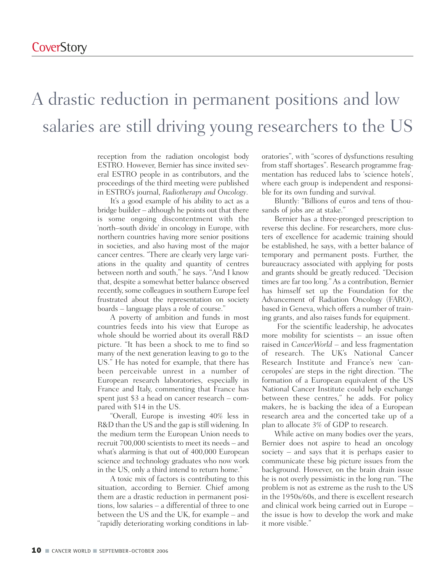#### A drastic reduction in permanent positions and low salaries are still driving young researchers to the US

reception from the radiation oncologist body ESTRO. However, Bernier has since invited several ESTRO people in as contributors, and the proceedings of the third meeting were published in ESTRO's journal, *Radiotherapy and Oncology*.

It's a good example of his ability to act as a bridge builder – although he points out that there is some ongoing discontentment with the 'north–south divide' in oncology in Europe, with northern countries having more senior positions in societies, and also having most of the major cancer centres. "There are clearly very large variations in the quality and quantity of centres between north and south," he says. "And I know that, despite a somewhat better balance observed recently, some colleagues in southern Europe feel frustrated about the representation on society boards – language plays a role of course."

A poverty of ambition and funds in most countries feeds into his view that Europe as whole should be worried about its overall R&D picture. "It has been a shock to me to find so many of the next generation leaving to go to the US." He has noted for example, that there has been perceivable unrest in a number of European research laboratories, especially in France and Italy, commenting that France has spent just \$3 a head on cancer research – compared with \$14 in the US.

"Overall, Europe is investing 40% less in R&D than the US and the gap is still widening. In the medium term the European Union needs to recruit 700,000 scientists to meet its needs – and what's alarming is that out of 400,000 European science and technology graduates who now work in the US, only a third intend to return home."

A toxic mix of factors is contributing to this situation, according to Bernier. Chief among them are a drastic reduction in permanent positions, low salaries – a differential of three to one between the US and the UK, for example – and "rapidly deteriorating working conditions in laboratories", with "scores of dysfunctions resulting from staff shortages". Research programme fragmentation has reduced labs to 'science hotels', where each group is independent and responsible for its own funding and survival.

Bluntly: "Billions of euros and tens of thousands of jobs are at stake."

Bernier has a three-pronged prescription to reverse this decline. For researchers, more clusters of excellence for academic training should be established, he says, with a better balance of temporary and permanent posts. Further, the bureaucracy associated with applying for posts and grants should be greatly reduced. "Decision times are far too long." As a contribution, Bernier has himself set up the Foundation for the Advancement of Radiation Oncology (FARO), based in Geneva, which offers a number of training grants, and also raises funds for equipment.

For the scientific leadership, he advocates more mobility for scientists – an issue often raised in *CancerWorld* – and less fragmentation of research. The UK's National Cancer Research Institute and France's new 'canceropoles' are steps in the right direction. "The formation of a European equivalent of the US National Cancer Institute could help exchange between these centres," he adds. For policy makers, he is backing the idea of a European research area and the concerted take up of a plan to allocate 3% of GDP to research.

While active on many bodies over the years, Bernier does not aspire to head an oncology society – and says that it is perhaps easier to communicate these big picture issues from the background. However, on the brain drain issue he is not overly pessimistic in the long run. "The problem is not as extreme as the rush to the US in the 1950s/60s, and there is excellent research and clinical work being carried out in Europe – the issue is how to develop the work and make it more visible."